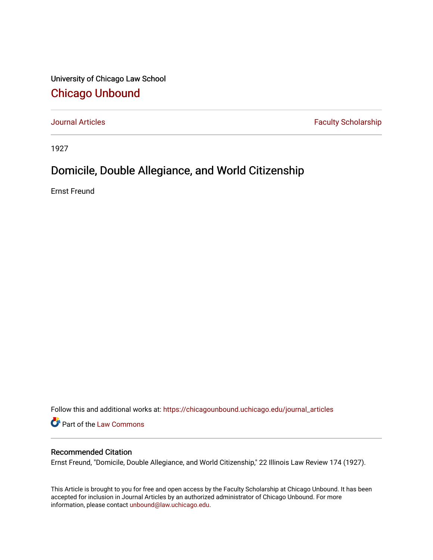University of Chicago Law School [Chicago Unbound](https://chicagounbound.uchicago.edu/)

[Journal Articles](https://chicagounbound.uchicago.edu/journal_articles) **Faculty Scholarship Faculty Scholarship** 

1927

## Domicile, Double Allegiance, and World Citizenship

Ernst Freund

Follow this and additional works at: [https://chicagounbound.uchicago.edu/journal\\_articles](https://chicagounbound.uchicago.edu/journal_articles?utm_source=chicagounbound.uchicago.edu%2Fjournal_articles%2F7809&utm_medium=PDF&utm_campaign=PDFCoverPages) 

Part of the [Law Commons](http://network.bepress.com/hgg/discipline/578?utm_source=chicagounbound.uchicago.edu%2Fjournal_articles%2F7809&utm_medium=PDF&utm_campaign=PDFCoverPages)

## Recommended Citation

Ernst Freund, "Domicile, Double Allegiance, and World Citizenship," 22 Illinois Law Review 174 (1927).

This Article is brought to you for free and open access by the Faculty Scholarship at Chicago Unbound. It has been accepted for inclusion in Journal Articles by an authorized administrator of Chicago Unbound. For more information, please contact [unbound@law.uchicago.edu](mailto:unbound@law.uchicago.edu).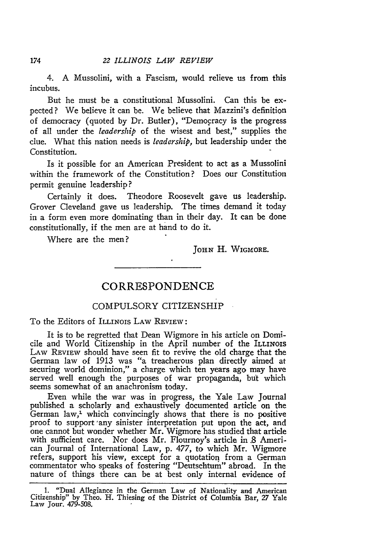4. **A** Mussolini, with a Fascism, would relieve us from this incubus.

But he must be a constitutional Mussolini. Can this be expected? We believe it can be. We believe that Mazzini's definition of democracy (quoted by Dr. Butler), "Democracy is the progress of all under the *leadership* of the wisest and best," supplies the clue. What this nation needs is *leadership,* but leadership under the Constitution.

Is it possible for an American President to act as a Mussolini within the framework of the Constitution? Does our Constitution permit genuine leadership?

Certainly it does. Theodore Roosevelt gave us leadership. Grover Cleveland gave us leadership. The times demand it today in a form even more dominating than in their day. It can be done constitutionally, if the men are at hand to do it.

Where are the men?

**JOHN** H. WIGMORE.

## **CORRESPONDENCE**

## COMPULSORY CITIZENSHIP

To the Editors of ILLINOIS LAW REVIEW:

It is to be regretted that Dean Wigmore in his article on Domicile and World Citizenship in the April number of the ILLINOIS LAW REVIEW should have seen fit to revive the old charge that the German law of 1913 was "a treacherous plan directly aimed at securing world dominion," a charge which ten years ago may have served well enough the purposes of war propaganda, but which seems somewhat of an anachronism today.

Even while the war was in progress, the Yale Law Journal published a scholarly and exhaustively documented article on the German law,' which convincingly shows that there is no positive proof to support 'any sinister interpretation put upon the act, and one cannot but wonder whether Mr. Wigmore has studied that article with sufficient care. Nor does Mr. Flournoy's article in *.8* American Journal of International Law, p. 477, to which Mr. Wigmore refers, support his view, except for a quotation from a German commentator who speaks of fostering "Deutschtum" abroad. In the nature of things there can be at best only internal evidence of

174

<sup>1. &</sup>quot;Dual Allegiance in the German Law of Nationality and Americau Citizenship" **by** Theo. H. Thiesing of the District of Columbia Bar, 27 Yale Law Jour. 479-508.